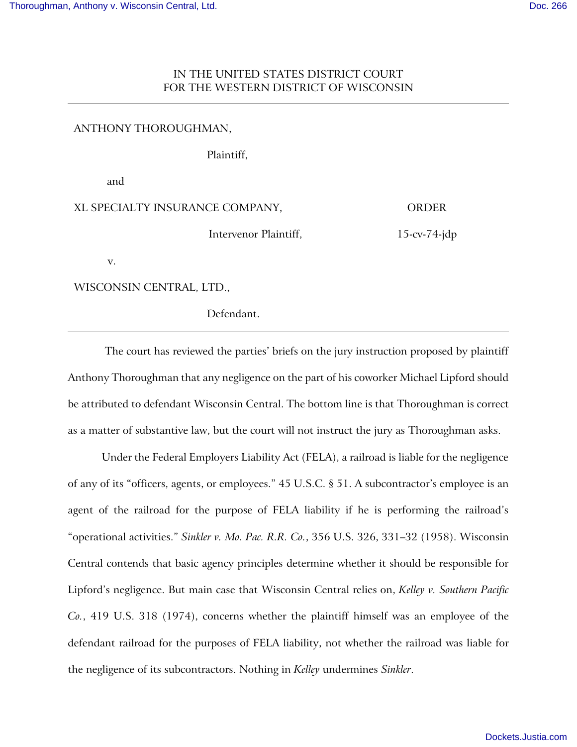## IN THE UNITED STATES DISTRICT COURT FOR THE WESTERN DISTRICT OF WISCONSIN

## ANTHONY THOROUGHMAN,

Plaintiff,

and

| XL SPECIALTY INSURANCE COMPANY, | <b>ORDER</b> |
|---------------------------------|--------------|
|---------------------------------|--------------|

Intervenor Plaintiff,

15-cv-74-jdp

v.

WISCONSIN CENTRAL, LTD.,

Defendant.

The court has reviewed the parties' briefs on the jury instruction proposed by plaintiff Anthony Thoroughman that any negligence on the part of his coworker Michael Lipford should be attributed to defendant Wisconsin Central. The bottom line is that Thoroughman is correct as a matter of substantive law, but the court will not instruct the jury as Thoroughman asks.

Under the Federal Employers Liability Act (FELA), a railroad is liable for the negligence of any of its "officers, agents, or employees." 45 U.S.C. § 51. A subcontractor's employee is an agent of the railroad for the purpose of FELA liability if he is performing the railroad's "operational activities." *Sinkler v. Mo. Pac. R.R. Co.*, 356 U.S. 326, 331–32 (1958). Wisconsin Central contends that basic agency principles determine whether it should be responsible for Lipford's negligence. But main case that Wisconsin Central relies on, *Kelley v. Southern Pacific Co.*, 419 U.S. 318 (1974), concerns whether the plaintiff himself was an employee of the defendant railroad for the purposes of FELA liability, not whether the railroad was liable for the negligence of its subcontractors. Nothing in *Kelley* undermines *Sinkler*.